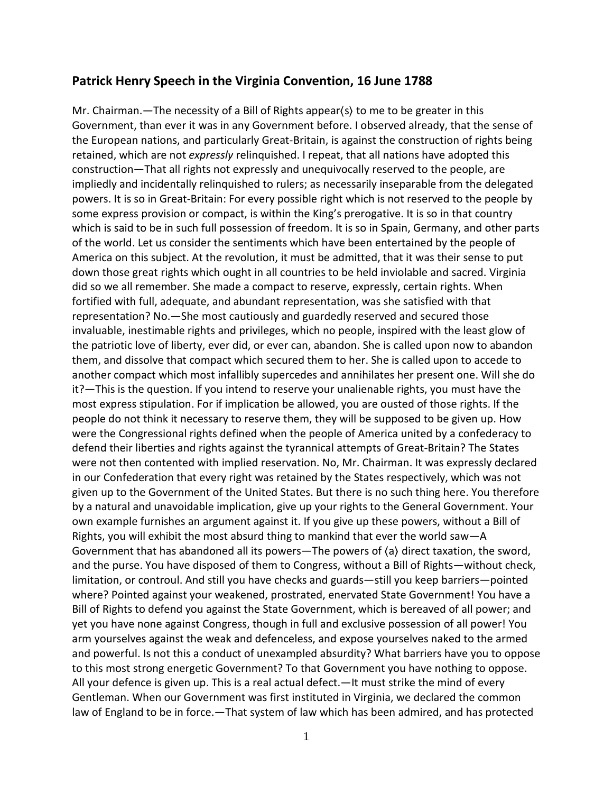## **Patrick Henry Speech in the Virginia Convention, 16 June 1788**

Mr. Chairman.—The necessity of a Bill of Rights appear⟨s⟩ to me to be greater in this Government, than ever it was in any Government before. I observed already, that the sense of the European nations, and particularly Great-Britain, is against the construction of rights being retained, which are not *expressly* relinquished. I repeat, that all nations have adopted this construction—That all rights not expressly and unequivocally reserved to the people, are impliedly and incidentally relinquished to rulers; as necessarily inseparable from the delegated powers. It is so in Great-Britain: For every possible right which is not reserved to the people by some express provision or compact, is within the King's prerogative. It is so in that country which is said to be in such full possession of freedom. It is so in Spain, Germany, and other parts of the world. Let us consider the sentiments which have been entertained by the people of America on this subject. At the revolution, it must be admitted, that it was their sense to put down those great rights which ought in all countries to be held inviolable and sacred. Virginia did so we all remember. She made a compact to reserve, expressly, certain rights. When fortified with full, adequate, and abundant representation, was she satisfied with that representation? No.—She most cautiously and guardedly reserved and secured those invaluable, inestimable rights and privileges, which no people, inspired with the least glow of the patriotic love of liberty, ever did, or ever can, abandon. She is called upon now to abandon them, and dissolve that compact which secured them to her. She is called upon to accede to another compact which most infallibly supercedes and annihilates her present one. Will she do it?—This is the question. If you intend to reserve your unalienable rights, you must have the most express stipulation. For if implication be allowed, you are ousted of those rights. If the people do not think it necessary to reserve them, they will be supposed to be given up. How were the Congressional rights defined when the people of America united by a confederacy to defend their liberties and rights against the tyrannical attempts of Great-Britain? The States were not then contented with implied reservation. No, Mr. Chairman. It was expressly declared in our Confederation that every right was retained by the States respectively, which was not given up to the Government of the United States. But there is no such thing here. You therefore by a natural and unavoidable implication, give up your rights to the General Government. Your own example furnishes an argument against it. If you give up these powers, without a Bill of Rights, you will exhibit the most absurd thing to mankind that ever the world saw—A Government that has abandoned all its powers—The powers of ⟨a⟩ direct taxation, the sword, and the purse. You have disposed of them to Congress, without a Bill of Rights—without check, limitation, or controul. And still you have checks and guards—still you keep barriers—pointed where? Pointed against your weakened, prostrated, enervated State Government! You have a Bill of Rights to defend you against the State Government, which is bereaved of all power; and yet you have none against Congress, though in full and exclusive possession of all power! You arm yourselves against the weak and defenceless, and expose yourselves naked to the armed and powerful. Is not this a conduct of unexampled absurdity? What barriers have you to oppose to this most strong energetic Government? To that Government you have nothing to oppose. All your defence is given up. This is a real actual defect.—It must strike the mind of every Gentleman. When our Government was first instituted in Virginia, we declared the common law of England to be in force.—That system of law which has been admired, and has protected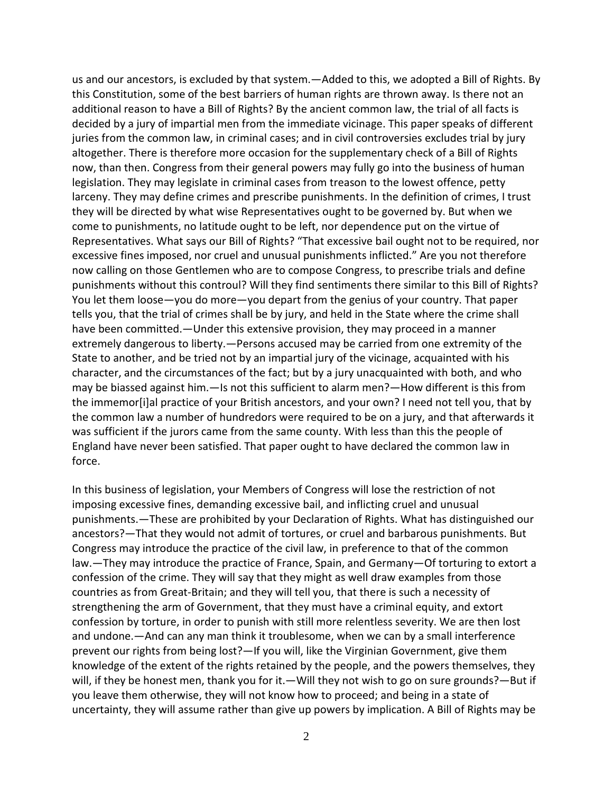us and our ancestors, is excluded by that system.—Added to this, we adopted a Bill of Rights. By this Constitution, some of the best barriers of human rights are thrown away. Is there not an additional reason to have a Bill of Rights? By the ancient common law, the trial of all facts is decided by a jury of impartial men from the immediate vicinage. This paper speaks of different juries from the common law, in criminal cases; and in civil controversies excludes trial by jury altogether. There is therefore more occasion for the supplementary check of a Bill of Rights now, than then. Congress from their general powers may fully go into the business of human legislation. They may legislate in criminal cases from treason to the lowest offence, petty larceny. They may define crimes and prescribe punishments. In the definition of crimes, I trust they will be directed by what wise Representatives ought to be governed by. But when we come to punishments, no latitude ought to be left, nor dependence put on the virtue of Representatives. What says our Bill of Rights? "That excessive bail ought not to be required, nor excessive fines imposed, nor cruel and unusual punishments inflicted." Are you not therefore now calling on those Gentlemen who are to compose Congress, to prescribe trials and define punishments without this controul? Will they find sentiments there similar to this Bill of Rights? You let them loose—you do more—you depart from the genius of your country. That paper tells you, that the trial of crimes shall be by jury, and held in the State where the crime shall have been committed.—Under this extensive provision, they may proceed in a manner extremely dangerous to liberty.—Persons accused may be carried from one extremity of the State to another, and be tried not by an impartial jury of the vicinage, acquainted with his character, and the circumstances of the fact; but by a jury unacquainted with both, and who may be biassed against him.—Is not this sufficient to alarm men?—How different is this from the immemor[i]al practice of your British ancestors, and your own? I need not tell you, that by the common law a number of hundredors were required to be on a jury, and that afterwards it was sufficient if the jurors came from the same county. With less than this the people of England have never been satisfied. That paper ought to have declared the common law in force.

In this business of legislation, your Members of Congress will lose the restriction of not imposing excessive fines, demanding excessive bail, and inflicting cruel and unusual punishments.—These are prohibited by your Declaration of Rights. What has distinguished our ancestors?—That they would not admit of tortures, or cruel and barbarous punishments. But Congress may introduce the practice of the civil law, in preference to that of the common law.—They may introduce the practice of France, Spain, and Germany—Of torturing to extort a confession of the crime. They will say that they might as well draw examples from those countries as from Great-Britain; and they will tell you, that there is such a necessity of strengthening the arm of Government, that they must have a criminal equity, and extort confession by torture, in order to punish with still more relentless severity. We are then lost and undone.—And can any man think it troublesome, when we can by a small interference prevent our rights from being lost?—If you will, like the Virginian Government, give them knowledge of the extent of the rights retained by the people, and the powers themselves, they will, if they be honest men, thank you for it.—Will they not wish to go on sure grounds?—But if you leave them otherwise, they will not know how to proceed; and being in a state of uncertainty, they will assume rather than give up powers by implication. A Bill of Rights may be